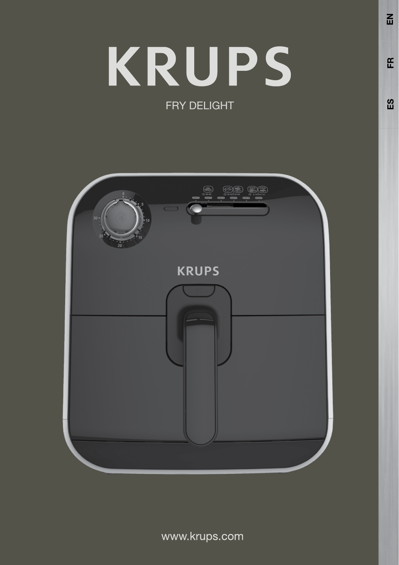# **KRUPS** FRY DELIGHT



www.krups.com

 $\Omega$ 

 $\tilde{E}$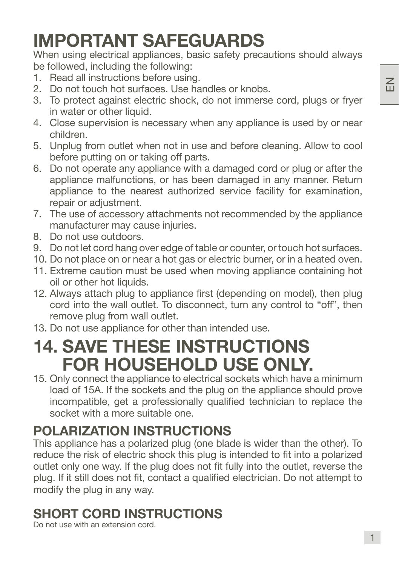## IMPORTANT SAFEGUARDS

When using electrical appliances, basic safety precautions should always be followed, including the following:

- 1. Read all instructions before using.
- 2. Do not touch hot surfaces. Use handles or knobs.
- 3. To protect against electric shock, do not immerse cord, plugs or fryer in water or other liquid.
- 4. Close supervision is necessary when any appliance is used by or near children.
- 5. Unplug from outlet when not in use and before cleaning. Allow to cool before putting on or taking off parts.
- 6. Do not operate any appliance with a damaged cord or plug or after the appliance malfunctions, or has been damaged in any manner. Return appliance to the nearest authorized service facility for examination, repair or adjustment.
- 7. The use of accessory attachments not recommended by the appliance manufacturer may cause injuries.
- 8. Do not use outdoors.
- 9. Do not let cord hang over edge of table or counter, or touch hot surfaces.
- 10. Do not place on or near a hot gas or electric burner, or in a heated oven.
- 11. Extreme caution must be used when moving appliance containing hot oil or other hot liquids.
- 12. Always attach plug to appliance first (depending on model), then plug cord into the wall outlet. To disconnect, turn any control to "off", then remove plug from wall outlet.
- 13. Do not use appliance for other than intended use.

## 14. SAVE THESE INSTRUCTIONS FOR HOUSEHOLD USE ONLY.

15. Only connect the appliance to electrical sockets which have a minimum load of 15A. If the sockets and the plug on the appliance should prove incompatible, get a professionally qualified technician to replace the socket with a more suitable one.

## POLARIZATION INSTRUCTIONS

This appliance has a polarized plug (one blade is wider than the other). To reduce the risk of electric shock this plug is intended to fit into a polarized outlet only one way. If the plug does not fit fully into the outlet, reverse the plug. If it still does not fit, contact a qualified electrician. Do not attempt to modify the plug in any way. 1

## SHORT CORD INSTRUCTIONS

Do not use with an extension cord.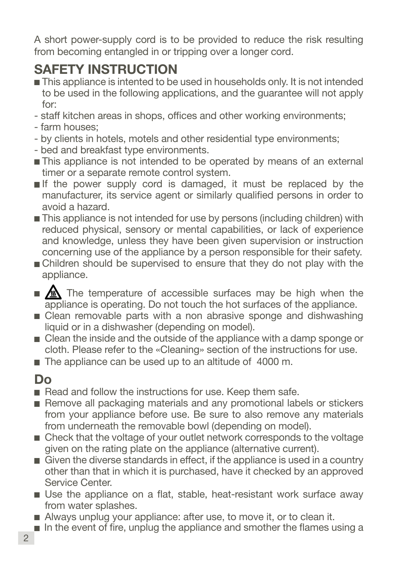A short power-supply cord is to be provided to reduce the risk resulting from becoming entangled in or tripping over a longer cord.

## SAFETY INSTRUCTION

- This appliance is intented to be used in households only. It is not intended to be used in the following applications, and the guarantee will not apply for:
- staff kitchen areas in shops, offices and other working environments;
- farm houses;
- by clients in hotels, motels and other residential type environments;
- bed and breakfast type environments.
- This appliance is not intended to be operated by means of an external timer or a separate remote control system.
- If the power supply cord is damaged, it must be replaced by the manufacturer, its service agent or similarly qualified persons in order to avoid a hazard.
- This appliance is not intended for use by persons (including children) with reduced physical, sensory or mental capabilities, or lack of experience and knowledge, unless they have been given supervision or instruction concerning use of the appliance by a person responsible for their safety.
- **n** Children should be supervised to ensure that they do not play with the appliance.
- $\blacksquare$   $\blacksquare$  The temperature of accessible surfaces may be high when the appliance is operating. Do not touch the hot surfaces of the appliance.
- E Clean removable parts with a non abrasive sponge and dishwashing liquid or in a dishwasher (depending on model).
- Clean the inside and the outside of the appliance with a damp sponge or cloth. Please refer to the «Cleaning» section of the instructions for use.
- The appliance can be used up to an altitude of 4000 m.

## Do

- Read and follow the instructions for use. Keep them safe.
- Remove all packaging materials and any promotional labels or stickers from your appliance before use. Be sure to also remove any materials from underneath the removable bowl (depending on model).
- Check that the voltage of your outlet network corresponds to the voltage given on the rating plate on the appliance (alternative current).
- $\blacksquare$  Given the diverse standards in effect, if the appliance is used in a country other than that in which it is purchased, have it checked by an approved Service Center.
- Use the appliance on a flat, stable, heat-resistant work surface away from water splashes.
- Always unplug your appliance: after use, to move it, or to clean it.
- $\blacksquare$  In the event of fire, unplug the appliance and smother the flames using a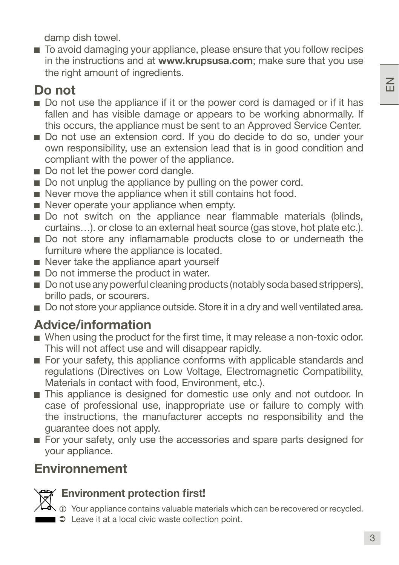$\leq$ 

damp dish towel.

■ To avoid damaging your appliance, please ensure that you follow recipes in the instructions and at www.krupsusa.com; make sure that you use the right amount of ingredients.

## Do not

- Do not use the appliance if it or the power cord is damaged or if it has fallen and has visible damage or appears to be working abnormally. If this occurs, the appliance must be sent to an Approved Service Center.
- Do not use an extension cord. If you do decide to do so, under your own responsibility, use an extension lead that is in good condition and compliant with the power of the appliance.
- Do not let the power cord dangle.
- Do not unplug the appliance by pulling on the power cord.
- Never move the appliance when it still contains hot food.
- $\blacksquare$  Never operate your appliance when empty.
- Do not switch on the appliance near flammable materials (blinds, curtains…). or close to an external heat source (gas stove, hot plate etc.).
- Do not store any inflamamable products close to or underneath the furniture where the appliance is located.
- Never take the appliance apart yourself
- Do not immerse the product in water.
- Do not use any powerful cleaning products (notably soda based strippers), brillo pads, or scourers.
- Do not store your appliance outside. Store it in a dry and well ventilated area.

## Advice/information

- When using the product for the first time, it may release a non-toxic odor. This will not affect use and will disappear rapidly.
- For your safety, this appliance conforms with applicable standards and regulations (Directives on Low Voltage, Electromagnetic Compatibility, Materials in contact with food, Environment, etc.).
- This appliance is designed for domestic use only and not outdoor. In case of professional use, inappropriate use or failure to comply with the instructions, the manufacturer accepts no responsibility and the guarantee does not apply.
- For your safety, only use the accessories and spare parts designed for your appliance.

## **Environnement**



#### Environment protection first!

- $\triangle$   $\odot$  Your appliance contains valuable materials which can be recovered or recycled.
- $\Rightarrow$  Leave it at a local civic waste collection point.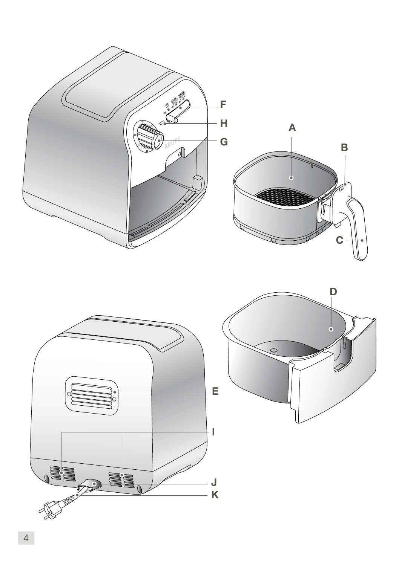

4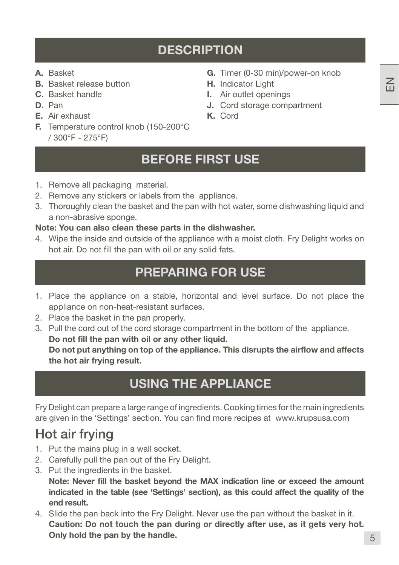- A. Basket
- B. Basket release button
- C. Basket handle
- D. Pan
- E. Air exhaust
- F. Temperature control knob (150-200°C / 300°F - 275°F)
- G. Timer (0-30 min)/power-on knob
- H. Indicator Light
- I. Air outlet openings
- J. Cord storage compartment
- K. Cord

## BEFORE FIRST USE

- 1. Remove all packaging material.
- 2. Remove any stickers or labels from the appliance.
- 3. Thoroughly clean the basket and the pan with hot water, some dishwashing liquid and a non-abrasive sponge.

#### Note: You can also clean these parts in the dishwasher.

4. Wipe the inside and outside of the appliance with a moist cloth. Fry Delight works on hot air. Do not fill the pan with oil or any solid fats.

## PREPARING FOR USE

- 1. Place the appliance on a stable, horizontal and level surface. Do not place the appliance on non-heat-resistant surfaces.
- 2. Place the basket in the pan properly.
- 3. Pull the cord out of the cord storage compartment in the bottom of the appliance. Do not fill the pan with oil or any other liquid. Do not put anything on top of the appliance. This disrupts the airflow and affects the hot air frying result.

## USING THE APPLIANCE

Fry Delight can prepare a large range of ingredients. Cooking times for the main ingredients are given in the 'Settings' section. You can find more recipes at www.krupsusa.com

## Hot air frying

- 1. Put the mains plug in a wall socket.
- 2. Carefully pull the pan out of the Fry Delight.
- 3. Put the ingredients in the basket.

Note: Never fill the basket beyond the MAX indication line or exceed the amount indicated in the table (see 'Settings' section), as this could affect the quality of the end result.

4. Slide the pan back into the Fry Delight. Never use the pan without the basket in it. Caution: Do not touch the pan during or directly after use, as it gets very hot. Only hold the pan by the handle.  $\overline{5}$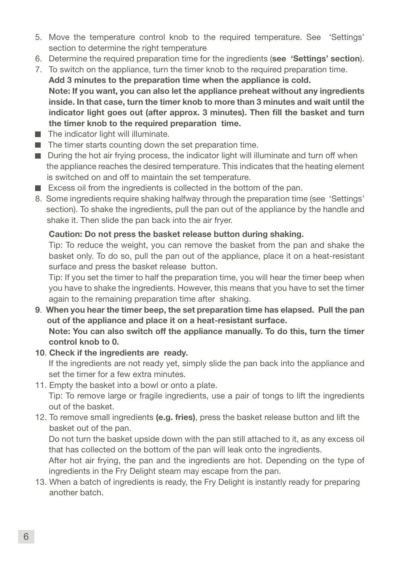- 5. Move the temperature control knob to the required temperature. See 'Settings' section to determine the right temperature
- 6. Determine the required preparation time for the ingredients (see 'Settings' section).
- 7. To switch on the appliance, turn the timer knob to the required preparation time. Add 3 minutes to the preparation time when the appliance is cold. Note: If you want, you can also let the appliance preheat without any ingredients inside. In that case, turn the timer knob to more than 3 minutes and wait until the indicator light goes out (after approx. 3 minutes). Then fill the basket and turn the timer knob to the required preparation time.
- $\blacksquare$  The indicator light will illuminate.
- $\blacksquare$  The timer starts counting down the set preparation time.
- **During the hot air frying process, the indicator light will illuminate and turn off when**  the appliance reaches the desired temperature. This indicates that the heating element is switched on and off to maintain the set temperature.
- Excess oil from the ingredients is collected in the bottom of the pan.
- 8. Some ingredients require shaking halfway through the preparation time (see 'Settings' section). To shake the ingredients, pull the pan out of the appliance by the handle and shake it. Then slide the pan back into the air fryer.

#### Caution: Do not press the basket release button during shaking.

Tip: To reduce the weight, you can remove the basket from the pan and shake the basket only. To do so, pull the pan out of the appliance, place it on a heat-resistant surface and press the basket release button.

Tip: If you set the timer to half the preparation time, you will hear the timer beep when you have to shake the ingredients. However, this means that you have to set the timer again to the remaining preparation time after shaking.

- 9. When you hear the timer beep, the set preparation time has elapsed. Pull the pan out of the appliance and place it on a heat-resistant surface. Note: You can also switch off the appliance manually. To do this, turn the timer control knob to 0.
- 10. Check if the ingredients are ready.

If the ingredients are not ready yet, simply slide the pan back into the appliance and set the timer for a few extra minutes.

- 11. Empty the basket into a bowl or onto a plate. Tip: To remove large or fragile ingredients, use a pair of tongs to lift the ingredients out of the basket.
- 12. To remove small ingredients (e.g. fries), press the basket release button and lift the basket out of the pan.

Do not turn the basket upside down with the pan still attached to it, as any excess oil that has collected on the bottom of the pan will leak onto the ingredients.

After hot air frying, the pan and the ingredients are hot. Depending on the type of ingredients in the Fry Delight steam may escape from the pan.

13. When a batch of ingredients is ready, the Fry Delight is instantly ready for preparing another batch.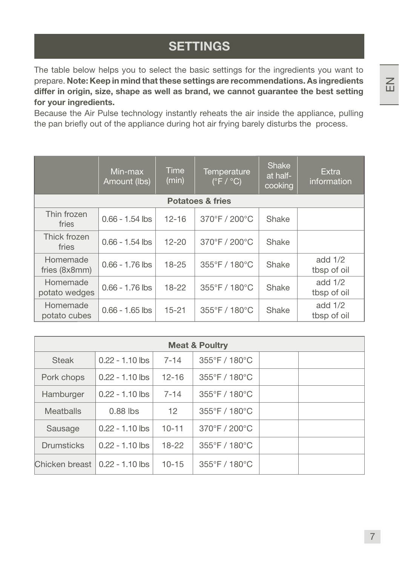**SETTINGS** 

The table below helps you to select the basic settings for the ingredients you want to prepare. Note: Keep in mind that these settings are recommendations. As ingredients differ in origin, size, shape as well as brand, we cannot guarantee the best setting for your ingredients.

Because the Air Pulse technology instantly reheats the air inside the appliance, pulling the pan briefly out of the appliance during hot air frying barely disturbs the process.

|                           | Min-max<br>Amount (lbs) | Time<br>(min) | Temperature<br>$(\degree$ F / $\degree$ C) | Shake<br>at half-<br>cooking | Extra.<br>information    |
|---------------------------|-------------------------|---------------|--------------------------------------------|------------------------------|--------------------------|
|                           |                         |               | <b>Potatoes &amp; fries</b>                |                              |                          |
| Thin frozen<br>fries      | $0.66 - 1.54$ lbs       | $12 - 16$     | 370°F / 200°C                              | Shake                        |                          |
| Thick frozen<br>fries     | $0.66 - 1.54$ lbs       | $12 - 20$     | 370°F / 200°C                              | Shake                        |                          |
| Homemade<br>fries (8x8mm) | $0.66 - 1.76$ lbs       | $18 - 25$     | 355°F / 180°C                              | Shake                        | add $1/2$<br>tbsp of oil |
| Homemade<br>potato wedges | $0.66 - 1.76$ lbs       | $18 - 22$     | 355°F / 180°C                              | Shake                        | add $1/2$<br>tbsp of oil |
| Homemade<br>potato cubes  | $0.66 - 1.65$ lbs       | $15 - 21$     | 355°F / 180°C                              | Shake                        | add $1/2$<br>tbsp of oil |

| <b>Meat &amp; Poultry</b> |                   |           |                                    |  |  |  |  |  |
|---------------------------|-------------------|-----------|------------------------------------|--|--|--|--|--|
| <b>Steak</b>              | $0.22 - 1.10$ lbs | $7 - 14$  | $355^{\circ}$ F / 180 $^{\circ}$ C |  |  |  |  |  |
| Pork chops                | $0.22 - 1.10$ lbs | $12 - 16$ | $355^{\circ}$ F / 180 $^{\circ}$ C |  |  |  |  |  |
| Hamburger                 | $0.22 - 1.10$ lbs | $7 - 14$  | $355^{\circ}$ F / 180 $^{\circ}$ C |  |  |  |  |  |
| <b>Meatballs</b>          | $0.88$ lbs        | 12        | $355^{\circ}$ F / 180 $^{\circ}$ C |  |  |  |  |  |
| Sausage                   | $0.22 - 1.10$ lbs | $10 - 11$ | $370^{\circ}$ F / 200 $^{\circ}$ C |  |  |  |  |  |
| Drumsticks                | $0.22 - 1.10$ lbs | $18-22$   | $355^{\circ}$ F / 180 $^{\circ}$ C |  |  |  |  |  |
| Chicken breast            | $0.22 - 1.10$ lbs | $10 - 15$ | $355^{\circ}$ F / 180 $^{\circ}$ C |  |  |  |  |  |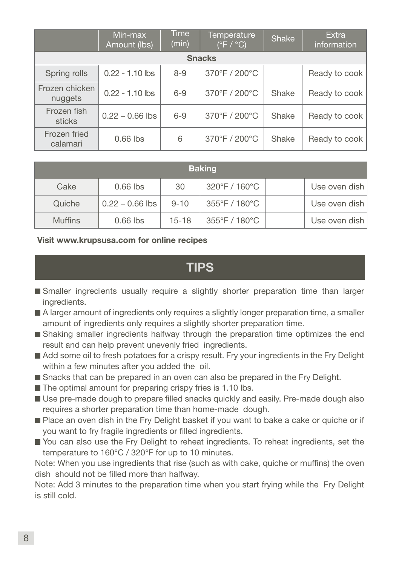|                           | Min-max<br>Amount (lbs) | <b>Time</b><br>(min) | Temperature<br>$(^{\circ}F / ^{\circ}C)$ | Shake | Extra<br>information |  |  |  |
|---------------------------|-------------------------|----------------------|------------------------------------------|-------|----------------------|--|--|--|
| <b>Snacks</b>             |                         |                      |                                          |       |                      |  |  |  |
| Spring rolls              | $0.22 - 1.10$ lbs       | $8 - 9$              | 370°F / 200°C                            |       | Ready to cook        |  |  |  |
| Frozen chicken<br>nuggets | $0.22 - 1.10$ lbs       | $6 - 9$              | 370°F / 200°C                            | Shake | Ready to cook        |  |  |  |
| Frozen fish<br>sticks     | $0.22 - 0.66$ lbs       | $6 - 9$              | 370°F / 200°C                            | Shake | Ready to cook        |  |  |  |
| Frozen fried<br>calamari  | $0.66$ lbs              | 6                    | 370°F / 200°C                            | Shake | Ready to cook        |  |  |  |

| <b>Baking</b>  |                   |           |               |  |                 |  |  |
|----------------|-------------------|-----------|---------------|--|-----------------|--|--|
| Cake           | $0.66$ lbs        | 30        | 320°F / 160°C |  | Use oven dish   |  |  |
| Quiche         | $0.22 - 0.66$ lbs | $9 - 10$  | 355°F / 180°C |  | Use oven dish   |  |  |
| <b>Muffins</b> | $0.66$ lbs        | $15 - 18$ | 355°F / 180°C |  | Use oven dish l |  |  |

#### Visit www.krupsusa.com for online recipes

### TIPS

- Smaller ingredients usually require a slightly shorter preparation time than larger ingredients.
- A larger amount of ingredients only requires a slightly longer preparation time, a smaller amount of ingredients only requires a slightly shorter preparation time.
- Shaking smaller ingredients halfway through the preparation time optimizes the end result and can help prevent unevenly fried ingredients.
- Add some oil to fresh potatoes for a crispy result. Fry your ingredients in the Fry Delight within a few minutes after you added the oil.
- Snacks that can be prepared in an oven can also be prepared in the Fry Delight.
- $\blacksquare$  The optimal amount for preparing crispy fries is 1.10 lbs.
- Use pre-made dough to prepare filled snacks quickly and easily. Pre-made dough also requires a shorter preparation time than home-made dough.
- **Place an oven dish in the Fry Delight basket if you want to bake a cake or quiche or if** you want to fry fragile ingredients or filled ingredients.
- You can also use the Fry Delight to reheat ingredients. To reheat ingredients, set the temperature to 160°C / 320°F for up to 10 minutes.

Note: When you use ingredients that rise (such as with cake, quiche or muffins) the oven dish should not be filled more than halfway.

Note: Add 3 minutes to the preparation time when you start frying while the Fry Delight is still cold.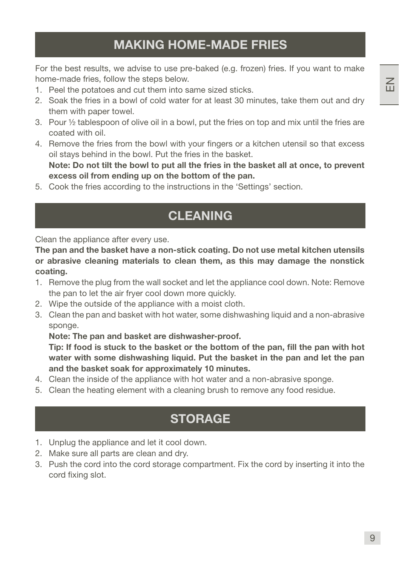For the best results, we advise to use pre-baked (e.g. frozen) fries. If you want to make home-made fries, follow the steps below.

- 1. Peel the potatoes and cut them into same sized sticks.
- 2. Soak the fries in a bowl of cold water for at least 30 minutes, take them out and dry them with paper towel.
- 3. Pour ½ tablespoon of olive oil in a bowl, put the fries on top and mix until the fries are coated with oil.
- 4. Remove the fries from the bowl with your fingers or a kitchen utensil so that excess oil stays behind in the bowl. Put the fries in the basket. Note: Do not tilt the bowl to put all the fries in the basket all at once, to prevent excess oil from ending up on the bottom of the pan.
- 5. Cook the fries according to the instructions in the 'Settings' section.

## CLEANING

Clean the appliance after every use.

The pan and the basket have a non-stick coating. Do not use metal kitchen utensils or abrasive cleaning materials to clean them, as this may damage the nonstick coating.

- 1. Remove the plug from the wall socket and let the appliance cool down. Note: Remove the pan to let the air fryer cool down more quickly.
- 2. Wipe the outside of the appliance with a moist cloth.
- 3. Clean the pan and basket with hot water, some dishwashing liquid and a non-abrasive sponge.

Note: The pan and basket are dishwasher-proof.

Tip: If food is stuck to the basket or the bottom of the pan, fill the pan with hot water with some dishwashing liquid. Put the basket in the pan and let the pan and the basket soak for approximately 10 minutes.

- 4. Clean the inside of the appliance with hot water and a non-abrasive sponge.
- 5. Clean the heating element with a cleaning brush to remove any food residue.

## **STORAGE**

- 1. Unplug the appliance and let it cool down.
- 2. Make sure all parts are clean and dry.
- 3. Push the cord into the cord storage compartment. Fix the cord by inserting it into the cord fixing slot.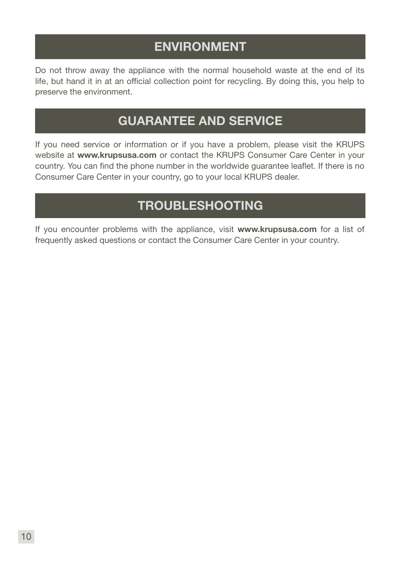## ENVIRONMENT

Do not throw away the appliance with the normal household waste at the end of its life, but hand it in at an official collection point for recycling. By doing this, you help to preserve the environment.

## GUARANTEE AND SERVICE

If you need service or information or if you have a problem, please visit the KRUPS website at www.krupsusa.com or contact the KRUPS Consumer Care Center in your country. You can find the phone number in the worldwide guarantee leaflet. If there is no Consumer Care Center in your country, go to your local KRUPS dealer.

## TROUBLESHOOTING

If you encounter problems with the appliance, visit www.krupsusa.com for a list of frequently asked questions or contact the Consumer Care Center in your country.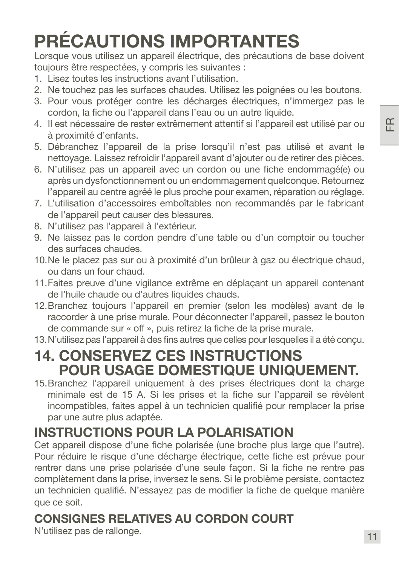# PRÉCAUTIONS IMPORTANTES

Lorsque vous utilisez un appareil électrique, des précautions de base doivent toujours être respectées, y compris les suivantes :

- 1. Lisez toutes les instructions avant l'utilisation.
- 2. Ne touchez pas les surfaces chaudes. Utilisez les poignées ou les boutons.
- 3. Pour vous protéger contre les décharges électriques, n'immergez pas le cordon, la fiche ou l'appareil dans l'eau ou un autre liquide.
- 4. Il est nécessaire de rester extrêmement attentif si l'appareil est utilisé par ou à proximité d'enfants.
- 5. Débranchez l'appareil de la prise lorsqu'il n'est pas utilisé et avant le nettoyage. Laissez refroidir l'appareil avant d'ajouter ou de retirer des pièces.
- 6. N'utilisez pas un appareil avec un cordon ou une fiche endommagé(e) ou après un dysfonctionnement ou un endommagement quelconque. Retournez l'appareil au centre agréé le plus proche pour examen, réparation ou réglage.
- 7. L'utilisation d'accessoires emboîtables non recommandés par le fabricant de l'appareil peut causer des blessures.
- 8. N'utilisez pas l'appareil à l'extérieur.
- 9. Ne laissez pas le cordon pendre d'une table ou d'un comptoir ou toucher des surfaces chaudes.
- 10.Ne le placez pas sur ou à proximité d'un brûleur à gaz ou électrique chaud, ou dans un four chaud.
- 11.Faites preuve d'une vigilance extrême en déplaçant un appareil contenant de l'huile chaude ou d'autres liquides chauds.
- 12.Branchez toujours l'appareil en premier (selon les modèles) avant de le raccorder à une prise murale. Pour déconnecter l'appareil, passez le bouton de commande sur « off », puis retirez la fiche de la prise murale.
- 13.N'utilisez pas l'appareil à des fins autres que celles pour lesquelles il a été conçu.

## 14. CONSERVEZ CES INSTRUCTIONS POUR USAGE DOMESTIQUE UNIQUEMENT.

15.Branchez l'appareil uniquement à des prises électriques dont la charge minimale est de 15 A. Si les prises et la fiche sur l'appareil se révèlent incompatibles, faites appel à un technicien qualifié pour remplacer la prise par une autre plus adaptée.

## INSTRUCTIONS POUR LA POLARISATION

Cet appareil dispose d'une fiche polarisée (une broche plus large que l'autre). Pour réduire le risque d'une décharge électrique, cette fiche est prévue pour rentrer dans une prise polarisée d'une seule façon. Si la fiche ne rentre pas complètement dans la prise, inversez le sens. Si le problème persiste, contactez un technicien qualifié. N'essayez pas de modifier la fiche de quelque manière que ce soit.

## CONSIGNES RELATIVES AU CORDON COURT

N'utilisez pas de rallonge.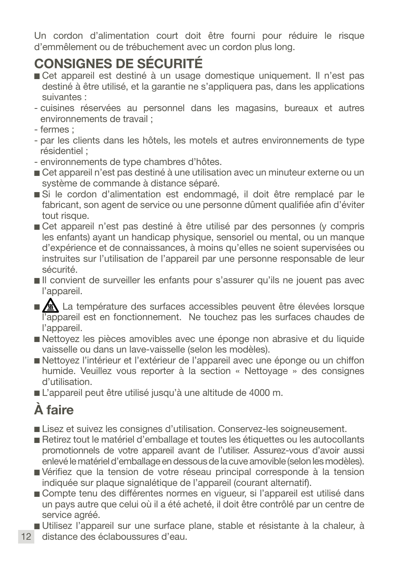Un cordon d'alimentation court doit être fourni pour réduire le risque d'emmêlement ou de trébuchement avec un cordon plus long.

## CONSIGNES DE SÉCURITÉ

- Cet appareil est destiné à un usage domestique uniquement. Il n'est pas destiné à être utilisé, et la garantie ne s'appliquera pas, dans les applications suivantes :
- cuisines réservées au personnel dans les magasins, bureaux et autres environnements de travail ;
- fermes ;
- par les clients dans les hôtels, les motels et autres environnements de type résidentiel ;
- environnements de type chambres d'hôtes.
- Cet appareil n'est pas destiné à une utilisation avec un minuteur externe ou un système de commande à distance séparé.
- Si le cordon d'alimentation est endommagé, il doit être remplacé par le fabricant, son agent de service ou une personne dûment qualifiée afin d'éviter tout risque.
- Cet appareil n'est pas destiné à être utilisé par des personnes (y compris les enfants) ayant un handicap physique, sensoriel ou mental, ou un manque d'expérience et de connaissances, à moins qu'elles ne soient supervisées ou instruites sur l'utilisation de l'appareil par une personne responsable de leur sécurité.
- Il convient de surveiller les enfants pour s'assurer qu'ils ne jouent pas avec l'appareil.
- **AL** La température des surfaces accessibles peuvent être élevées lorsque l'appareil est en fonctionnement. Ne touchez pas les surfaces chaudes de l'appareil.
- Nettoyez les pièces amovibles avec une éponge non abrasive et du liquide vaisselle ou dans un lave-vaisselle (selon les modèles).
- Nettoyez l'intérieur et l'extérieur de l'appareil avec une éponge ou un chiffon humide. Veuillez vous reporter à la section « Nettoyage » des consignes d'utilisation.
- L'appareil peut être utilisé jusqu'à une altitude de 4000 m.

## À faire

- Lisez et suivez les consignes d'utilisation. Conservez-les soigneusement.
- Retirez tout le matériel d'emballage et toutes les étiquettes ou les autocollants promotionnels de votre appareil avant de l'utiliser. Assurez-vous d'avoir aussi enlevé le matériel d'emballage en dessous de la cuve amovible (selon les modèles).
- Vérifiez que la tension de votre réseau principal corresponde à la tension indiquée sur plaque signalétique de l'appareil (courant alternatif).
- Compte tenu des différentes normes en vigueur, si l'appareil est utilisé dans un pays autre que celui où il a été acheté, il doit être contrôlé par un centre de service agréé.
- Utilisez l'appareil sur une surface plane, stable et résistante à la chaleur, à
- 12 distance des éclaboussures d'eau.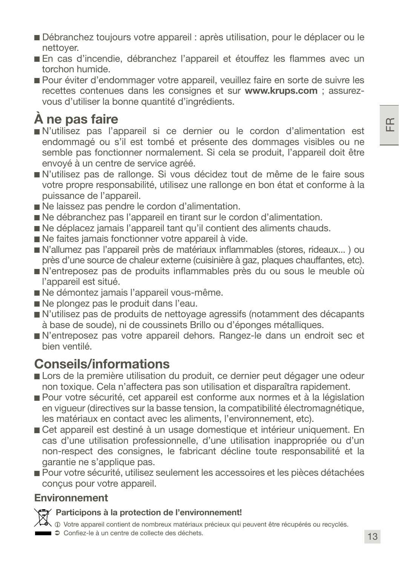- Débranchez toujours votre appareil : après utilisation, pour le déplacer ou le nettoyer.
- En cas d'incendie, débranchez l'appareil et étouffez les flammes avec un torchon humide.
- Pour éviter d'endommager votre appareil, veuillez faire en sorte de suivre les recettes contenues dans les consignes et sur www.krups.com ; assurezvous d'utiliser la bonne quantité d'ingrédients.

## À ne pas faire

- N'utilisez pas l'appareil si ce dernier ou le cordon d'alimentation est endommagé ou s'il est tombé et présente des dommages visibles ou ne semble pas fonctionner normalement. Si cela se produit, l'appareil doit être envoyé à un centre de service agréé.
- N'utilisez pas de rallonge. Si vous décidez tout de même de le faire sous votre propre responsabilité, utilisez une rallonge en bon état et conforme à la puissance de l'appareil.
- Ne laissez pas pendre le cordon d'alimentation.
- Ne débranchez pas l'appareil en tirant sur le cordon d'alimentation.
- Ne déplacez jamais l'appareil tant qu'il contient des aliments chauds.
- Ne faites jamais fonctionner votre appareil à vide.
- N'allumez pas l'appareil près de matériaux inflammables (stores, rideaux... ) ou près d'une source de chaleur externe (cuisinière à gaz, plaques chauffantes, etc).
- N'entreposez pas de produits inflammables près du ou sous le meuble où l'appareil est situé.
- Ne démontez jamais l'appareil vous-même.
- Ne plongez pas le produit dans l'eau.
- N'utilisez pas de produits de nettoyage agressifs (notamment des décapants à base de soude), ni de coussinets Brillo ou d'éponges métalliques.
- N'entreposez pas votre appareil dehors. Rangez-le dans un endroit sec et bien ventilé.

## Conseils/informations

- Lors de la première utilisation du produit, ce dernier peut dégager une odeur non toxique. Cela n'affectera pas son utilisation et disparaîtra rapidement.
- Pour votre sécurité, cet appareil est conforme aux normes et à la législation en vigueur (directives sur la basse tension, la compatibilité électromagnétique, les matériaux en contact avec les aliments, l'environnement, etc).
- Cet appareil est destiné à un usage domestique et intérieur uniquement. En cas d'une utilisation professionnelle, d'une utilisation inappropriée ou d'un non-respect des consignes, le fabricant décline toute responsabilité et la garantie ne s'applique pas.
- Pour votre sécurité, utilisez seulement les accessoires et les pièces détachées conçus pour votre appareil.

#### Environnement



i Votre appareil contient de nombreux matériaux précieux qui peuvent être récupérés ou recyclés.

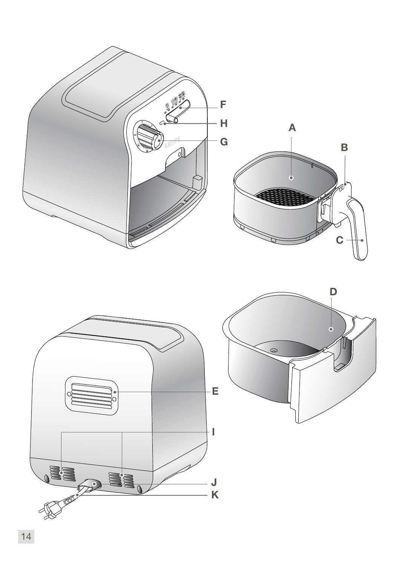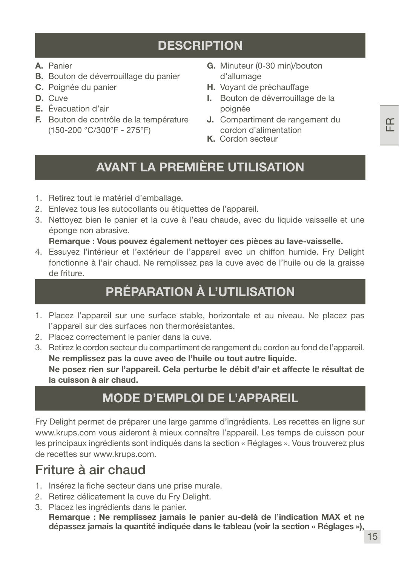## **DESCRIPTION**

- A. Panier
- B. Bouton de déverrouillage du panier
- C. Poignée du panier
- D. Cuve
- E. Évacuation d'air
- F. Bouton de contrôle de la température (150-200 °C/300°F - 275°F)
- G. Minuteur (0-30 min)/bouton d'allumage
- H. Voyant de préchauffage
- I. Bouton de déverrouillage de la poignée
- J. Compartiment de rangement du cordon d'alimentation
- K. Cordon secteur

## AVANT LA PREMIÈRE UTILISATION

- 1. Retirez tout le matériel d'emballage.
- 2. Enlevez tous les autocollants ou étiquettes de l'appareil.
- 3. Nettoyez bien le panier et la cuve à l'eau chaude, avec du liquide vaisselle et une éponge non abrasive.

#### Remarque : Vous pouvez également nettoyer ces pièces au lave-vaisselle.

4. Essuyez l'intérieur et l'extérieur de l'appareil avec un chiffon humide. Fry Delight fonctionne à l'air chaud. Ne remplissez pas la cuve avec de l'huile ou de la graisse de friture.

## PRÉPARATION À L'UTILISATION

- 1. Placez l'appareil sur une surface stable, horizontale et au niveau. Ne placez pas l'appareil sur des surfaces non thermorésistantes.
- 2. Placez correctement le panier dans la cuve.
- 3. Retirez le cordon secteur du compartiment de rangement du cordon au fond de l'appareil. Ne remplissez pas la cuve avec de l'huile ou tout autre liquide. Ne posez rien sur l'appareil. Cela perturbe le débit d'air et affecte le résultat de la cuisson à air chaud.

## MODE D'EMPLOI DE L'APPAREIL

Fry Delight permet de préparer une large gamme d'ingrédients. Les recettes en ligne sur www.krups.com vous aideront à mieux connaître l'appareil. Les temps de cuisson pour les principaux ingrédients sont indiqués dans la section « Réglages ». Vous trouverez plus de recettes sur www.krups.com.

## Friture à air chaud

- 1. Insérez la fiche secteur dans une prise murale.
- 2. Retirez délicatement la cuve du Fry Delight.
- 3. Placez les ingrédients dans le panier.

Remarque : Ne remplissez jamais le panier au-delà de l'indication MAX et ne dépassez jamais la quantité indiquée dans le tableau (voir la section « Réglages »),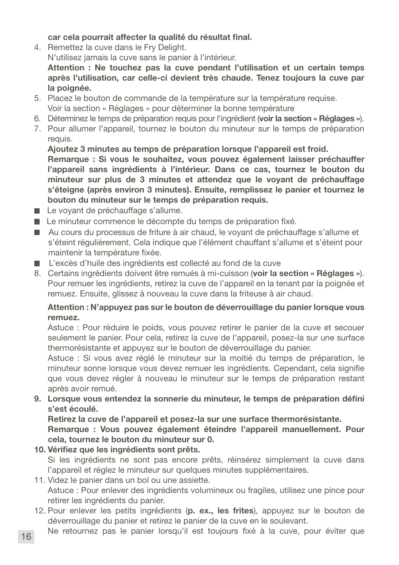car cela pourrait affecter la qualité du résultat final.

4. Remettez la cuve dans le Fry Delight.

N'utilisez jamais la cuve sans le panier à l'intérieur.

Attention : Ne touchez pas la cuve pendant l'utilisation et un certain temps après l'utilisation, car celle-ci devient très chaude. Tenez toujours la cuve par la poignée.

- 5. Placez le bouton de commande de la température sur la température requise. Voir la section « Réglages » pour déterminer la bonne température
- 6. Déterminez le temps de préparation requis pour l'ingrédient (voir la section « Réglages »).
- 7. Pour allumer l'appareil, tournez le bouton du minuteur sur le temps de préparation requis.

Ajoutez 3 minutes au temps de préparation lorsque l'appareil est froid.

Remarque : Si vous le souhaitez, vous pouvez également laisser préchauffer l'appareil sans ingrédients à l'intérieur. Dans ce cas, tournez le bouton du minuteur sur plus de 3 minutes et attendez que le voyant de préchauffage s'éteigne (après environ 3 minutes). Ensuite, remplissez le panier et tournez le bouton du minuteur sur le temps de préparation requis.

- Le voyant de préchauffage s'allume.
- Le minuteur commence le décompte du temps de préparation fixé.
- Au cours du processus de friture à air chaud, le voyant de préchauffage s'allume et s'éteint régulièrement. Cela indique que l'élément chauffant s'allume et s'éteint pour maintenir la température fixée.
- L'excès d'huile des ingrédients est collecté au fond de la cuve
- 8. Certains ingrédients doivent être remués à mi-cuisson (voir la section « Réglages »). Pour remuer les ingrédients, retirez la cuve de l'appareil en la tenant par la poignée et remuez. Ensuite, glissez à nouveau la cuve dans la friteuse à air chaud.

#### Attention : N'appuyez pas sur le bouton de déverrouillage du panier lorsque vous remuez.

Astuce : Pour réduire le poids, vous pouvez retirer le panier de la cuve et secouer seulement le panier. Pour cela, retirez la cuve de l'appareil, posez-la sur une surface thermorésistante et appuyez sur le bouton de déverrouillage du panier.

Astuce : Si vous avez réglé le minuteur sur la moitié du temps de préparation, le minuteur sonne lorsque vous devez remuer les ingrédients. Cependant, cela signifie que vous devez régler à nouveau le minuteur sur le temps de préparation restant après avoir remué.

9. Lorsque vous entendez la sonnerie du minuteur, le temps de préparation défini s'est écoulé.

Retirez la cuve de l'appareil et posez-la sur une surface thermorésistante.

Remarque : Vous pouvez également éteindre l'appareil manuellement. Pour cela, tournez le bouton du minuteur sur 0.

10. Vérifiez que les ingrédients sont prêts.

Si les ingrédients ne sont pas encore prêts, réinsérez simplement la cuve dans l'appareil et réglez le minuteur sur quelques minutes supplémentaires.

- 11. Videz le panier dans un bol ou une assiette. Astuce : Pour enlever des ingrédients volumineux ou fragiles, utilisez une pince pour retirer les ingrédients du panier.
- 12. Pour enlever les petits ingrédients (p. ex., les frites), appuyez sur le bouton de déverrouillage du panier et retirez le panier de la cuve en le soulevant.
- 16 Ne retournez pas le panier lorsqu'il est toujours fixé à la cuve, pour éviter que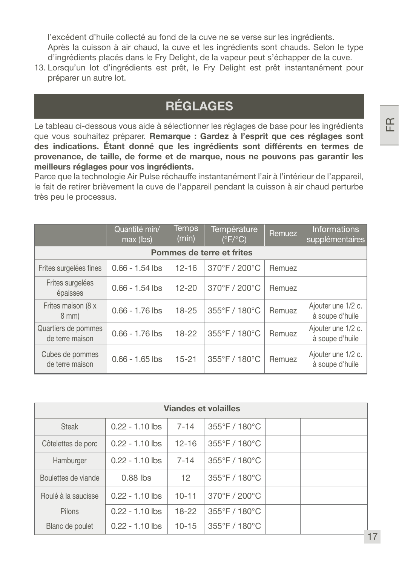l'excédent d'huile collecté au fond de la cuve ne se verse sur les ingrédients. Après la cuisson à air chaud, la cuve et les ingrédients sont chauds. Selon le type d'ingrédients placés dans le Fry Delight, de la vapeur peut s'échapper de la cuve.

13. Lorsqu'un lot d'ingrédients est prêt, le Fry Delight est prêt instantanément pour préparer un autre lot.

## RÉGLAGES

Le tableau ci-dessous vous aide à sélectionner les réglages de base pour les ingrédients que vous souhaitez préparer. Remarque : Gardez à l'esprit que ces réglages sont des indications. Étant donné que les ingrédients sont différents en termes de provenance, de taille, de forme et de marque, nous ne pouvons pas garantir les meilleurs réglages pour vos ingrédients.

Parce que la technologie Air Pulse réchauffe instantanément l'air à l'intérieur de l'appareil, le fait de retirer brièvement la cuve de l'appareil pendant la cuisson à air chaud perturbe très peu le processus.

|                                        | Quantité min/<br>max (lbs) | <b>Temps</b><br>(min) | Température<br>$(^{\circ}F/^{\circ}C)$ | <b>Remuez</b> | <b>Informations</b><br>supplémentaires |
|----------------------------------------|----------------------------|-----------------------|----------------------------------------|---------------|----------------------------------------|
|                                        |                            |                       | Pommes de terre et frites              |               |                                        |
| Frites surgelées fines                 | $0.66 - 1.54$ lbs          | $12 - 16$             | 370°F / 200°C                          | Remuez        |                                        |
| Frites surgelées<br>épaisses           | $0.66 - 1.54$ lbs          | $12 - 20$             | 370°F / 200°C                          | Remuez        |                                        |
| Frites maison (8 x<br>$8$ mm $)$       | $0.66 - 1.76$ lbs          | $18 - 25$             | 355°F / 180°C                          | Remuez        | Ajouter une 1/2 c.<br>à soupe d'huile  |
| Quartiers de pommes<br>de terre maison | $0.66 - 1.76$ lbs          | $18 - 22$             | 355°F / 180°C                          | Remuez        | Ajouter une 1/2 c.<br>à soupe d'huile  |
| Cubes de pommes<br>de terre maison     | $0.66 - 1.65$ lbs          | $15 - 21$             | 355°F / 180°C                          | Remuez        | Ajouter une 1/2 c.<br>à soupe d'huile  |

| <b>Viandes et volailles</b> |                   |           |                                    |  |  |  |  |  |
|-----------------------------|-------------------|-----------|------------------------------------|--|--|--|--|--|
| Steak                       | $0.22 - 1.10$ lbs | $7 - 14$  | $355^{\circ}$ F / 180 $^{\circ}$ C |  |  |  |  |  |
| Côtelettes de porc          | $0.22 - 1.10$ lbs | $12 - 16$ | $355^{\circ}$ F / 180 $^{\circ}$ C |  |  |  |  |  |
| Hamburger                   | $0.22 - 1.10$ lbs | $7 - 14$  | $355^{\circ}$ F / 180 $^{\circ}$ C |  |  |  |  |  |
| Boulettes de viande         | $0.88$ lbs        | 12        | $355^{\circ}$ F / 180 $^{\circ}$ C |  |  |  |  |  |
| Roulé à la saucisse         | $0.22 - 1.10$ lbs | $10 - 11$ | $370^{\circ}$ F / 200 $^{\circ}$ C |  |  |  |  |  |
| Pilons                      | $0.22 - 1.10$ lbs | 18-22     | $355^{\circ}$ F / 180 $^{\circ}$ C |  |  |  |  |  |
| Blanc de poulet             | $0.22 - 1.10$ lbs | $10 - 15$ | $355^{\circ}$ F / 180 $^{\circ}$ C |  |  |  |  |  |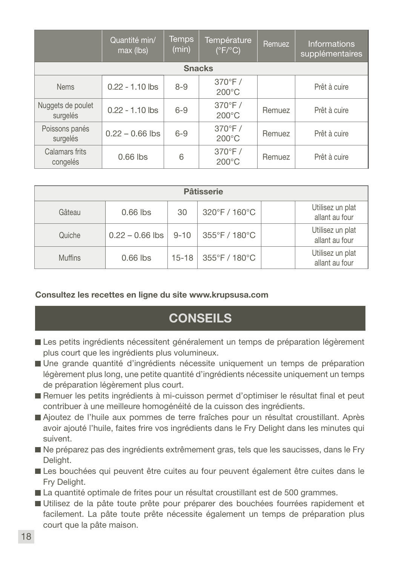|                               | Quantité min/<br>max (lbs) | <b>Temps</b><br>(min) | Température<br>$(°\overline{F/°C})$ | Remuez | <b>Informations</b><br>supplémentaires |
|-------------------------------|----------------------------|-----------------------|-------------------------------------|--------|----------------------------------------|
|                               |                            | <b>Snacks</b>         |                                     |        |                                        |
| <b>Nems</b>                   | $0.22 - 1.10$ lbs          | $8 - 9$               | $370^\circ F/$<br>$200^{\circ}$ C   |        | Prêt à cuire                           |
| Nuggets de poulet<br>surgelés | $0.22 - 1.10$ lbs          | $6 - 9$               | $370^\circ F/$<br>$200^{\circ}$ C   | Remuez | Prêt à cuire                           |
| Poissons panés<br>surgelés    | $0.22 - 0.66$ lbs          | $6 - 9$               | $370^\circ F/$<br>$200^{\circ}$ C   | Remuez | Prêt à cuire                           |
| Calamars frits<br>congelés    | $0.66$ lbs                 | 6                     | $370^\circ F/$<br>$200^{\circ}$ C   | Remuez | Prêt à cuire                           |

| <b>Pâtisserie</b> |                   |           |               |                                    |  |  |  |  |
|-------------------|-------------------|-----------|---------------|------------------------------------|--|--|--|--|
| Gâteau            | $0.66$ lbs        | 30        | 320°F / 160°C | Utilisez un plat<br>allant au four |  |  |  |  |
| Quiche            | $0.22 - 0.66$ lbs | $9 - 10$  | 355°F / 180°C | Utilisez un plat<br>allant au four |  |  |  |  |
| <b>Muffins</b>    | $0.66$ lbs        | $15 - 18$ | 355°F / 180°C | Utilisez un plat<br>allant au four |  |  |  |  |

#### Consultez les recettes en ligne du site www.krupsusa.com

## **CONSEILS**

- Les petits ingrédients nécessitent généralement un temps de préparation légèrement plus court que les ingrédients plus volumineux.
- Une grande quantité d'ingrédients nécessite uniquement un temps de préparation légèrement plus long, une petite quantité d'ingrédients nécessite uniquement un temps de préparation légèrement plus court.
- Remuer les petits ingrédients à mi-cuisson permet d'optimiser le résultat final et peut contribuer à une meilleure homogénéité de la cuisson des ingrédients.
- Ajoutez de l'huile aux pommes de terre fraîches pour un résultat croustillant. Après avoir ajouté l'huile, faites frire vos ingrédients dans le Fry Delight dans les minutes qui suivent.
- Ne préparez pas des ingrédients extrêmement gras, tels que les saucisses, dans le Fry Delight.
- Les bouchées qui peuvent être cuites au four peuvent également être cuites dans le Fry Delight.
- La quantité optimale de frites pour un résultat croustillant est de 500 grammes.
- Utilisez de la pâte toute prête pour préparer des bouchées fourrées rapidement et facilement. La pâte toute prête nécessite également un temps de préparation plus court que la pâte maison.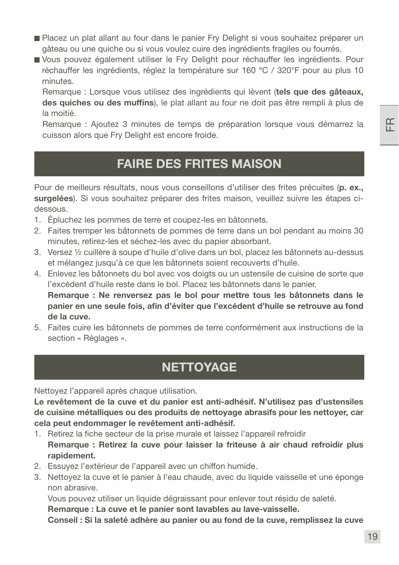19

FR

- Placez un plat allant au four dans le panier Fry Delight si vous souhaitez préparer un gâteau ou une quiche ou si vous voulez cuire des ingrédients fragiles ou fourrés.
- Vous pouvez également utiliser le Fry Delight pour réchauffer les ingrédients. Pour réchauffer les ingrédients, réglez la température sur 160 ºC / 320°F pour au plus 10 minutes.

Remarque : Lorsque vous utilisez des ingrédients qui lèvent (tels que des gâteaux, des quiches ou des muffins), le plat allant au four ne doit pas être rempli à plus de la moitié.

Remarque : Ajoutez 3 minutes de temps de préparation lorsque vous démarrez la cuisson alors que Fry Delight est encore froide.

### FAIRE DES FRITES MAISON

Pour de meilleurs résultats, nous vous conseillons d'utiliser des frites précuites (p. ex., surgelées). Si vous souhaitez préparer des frites maison, veuillez suivre les étapes cidessous.

- 1. Épluchez les pommes de terre et coupez-les en bâtonnets.
- 2. Faites tremper les bâtonnets de pommes de terre dans un bol pendant au moins 30 minutes, retirez-les et séchez-les avec du papier absorbant.
- 3. Versez ½ cuillère à soupe d'huile d'olive dans un bol, placez les bâtonnets au-dessus et mélangez jusqu'à ce que les bâtonnets soient recouverts d'huile.
- 4. Enlevez les bâtonnets du bol avec vos doigts ou un ustensile de cuisine de sorte que l'excédent d'huile reste dans le bol. Placez les bâtonnets dans le panier. Remarque : Ne renversez pas le bol pour mettre tous les bâtonnets dans le panier en une seule fois, afin d'éviter que l'excédent d'huile se retrouve au fond de la cuve.
- 5. Faites cuire les bâtonnets de pommes de terre conformément aux instructions de la section « Réglages ».

## **NETTOYAGE**

Nettoyez l'appareil après chaque utilisation.

Le revêtement de la cuve et du panier est anti-adhésif. N'utilisez pas d'ustensiles de cuisine métalliques ou des produits de nettoyage abrasifs pour les nettoyer, car cela peut endommager le revêtement anti-adhésif.

- 1. Retirez la fiche secteur de la prise murale et laissez l'appareil refroidir Remarque : Retirez la cuve pour laisser la friteuse à air chaud refroidir plus rapidement.
- 2. Essuyez l'extérieur de l'appareil avec un chiffon humide.
- 3. Nettoyez la cuve et le panier à l'eau chaude, avec du liquide vaisselle et une éponge non abrasive.

Vous pouvez utiliser un liquide dégraissant pour enlever tout résidu de saleté.

Remarque : La cuve et le panier sont lavables au lave-vaisselle.

Conseil : Si la saleté adhère au panier ou au fond de la cuve, remplissez la cuve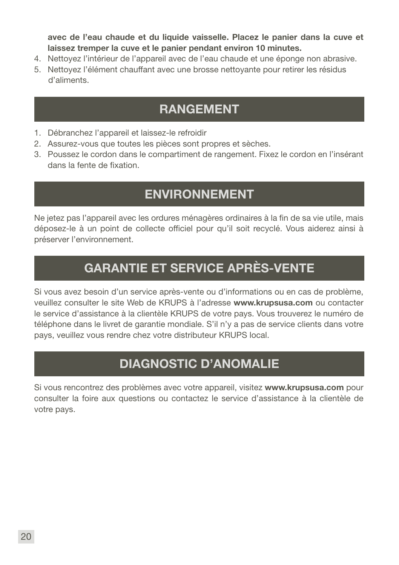avec de l'eau chaude et du liquide vaisselle. Placez le panier dans la cuve et laissez tremper la cuve et le panier pendant environ 10 minutes.

- 4. Nettoyez l'intérieur de l'appareil avec de l'eau chaude et une éponge non abrasive.
- 5. Nettoyez l'élément chauffant avec une brosse nettoyante pour retirer les résidus d'aliments.

## RANGEMENT

- 1. Débranchez l'appareil et laissez-le refroidir
- 2. Assurez-vous que toutes les pièces sont propres et sèches.
- 3. Poussez le cordon dans le compartiment de rangement. Fixez le cordon en l'insérant dans la fente de fixation.

## ENVIRONNEMENT

Ne jetez pas l'appareil avec les ordures ménagères ordinaires à la fin de sa vie utile, mais déposez-le à un point de collecte officiel pour qu'il soit recyclé. Vous aiderez ainsi à préserver l'environnement.

## GARANTIE ET SERVICE APRÈS-VENTE

Si vous avez besoin d'un service après-vente ou d'informations ou en cas de problème, veuillez consulter le site Web de KRUPS à l'adresse www.krupsusa.com ou contacter le service d'assistance à la clientèle KRUPS de votre pays. Vous trouverez le numéro de téléphone dans le livret de garantie mondiale. S'il n'y a pas de service clients dans votre pays, veuillez vous rendre chez votre distributeur KRUPS local.

## DIAGNOSTIC D'ANOMALIE

Si vous rencontrez des problèmes avec votre appareil, visitez www.krupsusa.com pour consulter la foire aux questions ou contactez le service d'assistance à la clientèle de votre pays.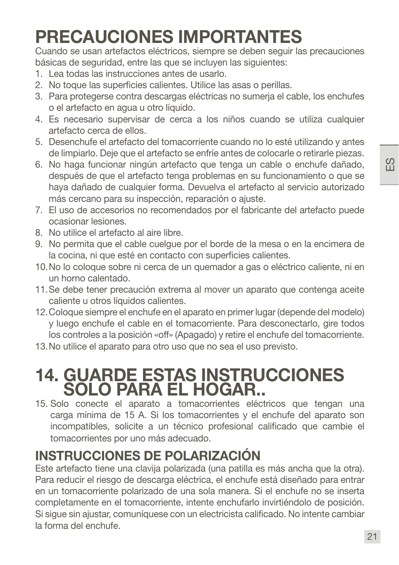## PRECAUCIONES IMPORTANTES

Cuando se usan artefactos eléctricos, siempre se deben seguir las precauciones básicas de seguridad, entre las que se incluyen las siguientes:

- 1. Lea todas las instrucciones antes de usarlo.
- 2. No toque las superficies calientes. Utilice las asas o perillas.
- 3. Para protegerse contra descargas eléctricas no sumerja el cable, los enchufes o el artefacto en agua u otro líquido.
- 4. Es necesario supervisar de cerca a los niños cuando se utiliza cualquier artefacto cerca de ellos.
- 5. Desenchufe el artefacto del tomacorriente cuando no lo esté utilizando y antes de limpiarlo. Deje que el artefacto se enfríe antes de colocarle o retirarle piezas.
- 6. No haga funcionar ningún artefacto que tenga un cable o enchufe dañado, después de que el artefacto tenga problemas en su funcionamiento o que se haya dañado de cualquier forma. Devuelva el artefacto al servicio autorizado más cercano para su inspección, reparación o ajuste.
- 7. El uso de accesorios no recomendados por el fabricante del artefacto puede ocasionar lesiones.
- 8. No utilice el artefacto al aire libre.
- 9. No permita que el cable cuelgue por el borde de la mesa o en la encimera de la cocina, ni que esté en contacto con superficies calientes.
- 10.No lo coloque sobre ni cerca de un quemador a gas o eléctrico caliente, ni en un horno calentado.
- 11.Se debe tener precaución extrema al mover un aparato que contenga aceite caliente u otros líquidos calientes.
- 12.Coloque siempre el enchufe en el aparato en primer lugar (depende del modelo) y luego enchufe el cable en el tomacorriente. Para desconectarlo, gire todos los controles a la posición «off» (Apagado) y retire el enchufe del tomacorriente.
- 13.No utilice el aparato para otro uso que no sea el uso previsto.

## 14. GUARDE ESTAS INSTRUCCIONES SOLO PARA EL HOGAR..

15. Solo conecte el aparato a tomacorrientes eléctricos que tengan una carga mínima de 15 A. Si los tomacorrientes y el enchufe del aparato son incompatibles, solicite a un técnico profesional calificado que cambie el tomacorrientes por uno más adecuado.

## INSTRUCCIONES DE POLARIZACIÓN

Este artefacto tiene una clavija polarizada (una patilla es más ancha que la otra). Para reducir el riesgo de descarga eléctrica, el enchufe está diseñado para entrar en un tomacorriente polarizado de una sola manera. Si el enchufe no se inserta completamente en el tomacorriente, intente enchufarlo invirtiéndolo de posición. Si sigue sin ajustar, comuníquese con un electricista calificado. No intente cambiar la forma del enchufe.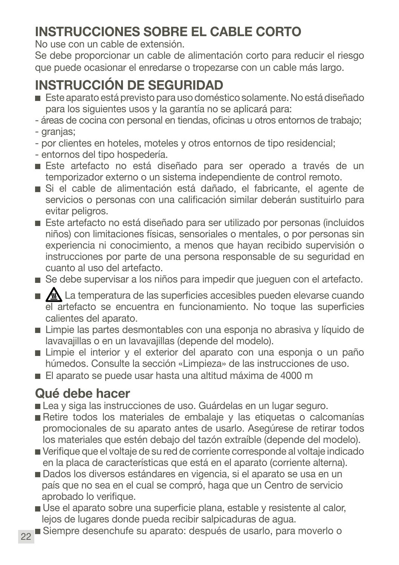## INSTRUCCIONES SOBRE EL CABLE CORTO

No use con un cable de extensión.

Se debe proporcionar un cable de alimentación corto para reducir el riesgo que puede ocasionar el enredarse o tropezarse con un cable más largo.

## INSTRUCCIÓN DE SEGURIDAD

- Este aparato está previsto para uso doméstico solamente. No está diseñado para los siguientes usos y la garantía no se aplicará para:
- áreas de cocina con personal en tiendas, oficinas u otros entornos de trabajo; - granjas;
- por clientes en hoteles, moteles y otros entornos de tipo residencial;
- entornos del tipo hospedería.
- Este artefacto no está diseñado para ser operado a través de un temporizador externo o un sistema independiente de control remoto.
- Si el cable de alimentación está dañado, el fabricante, el agente de servicios o personas con una calificación similar deberán sustituirlo para evitar peligros.
- Este artefacto no está diseñado para ser utilizado por personas (incluidos niños) con limitaciones físicas, sensoriales o mentales, o por personas sin experiencia ni conocimiento, a menos que hayan recibido supervisión o instrucciones por parte de una persona responsable de su seguridad en cuanto al uso del artefacto.
- Se debe supervisar a los niños para impedir que jueguen con el artefacto.
- $\blacksquare$   $\blacksquare$  La temperatura de las superficies accesibles pueden elevarse cuando el artefacto se encuentra en funcionamiento. No toque las superficies calientes del aparato.
- Limpie las partes desmontables con una esponia no abrasiva y líquido de lavavajillas o en un lavavajillas (depende del modelo).
- Limpie el interior y el exterior del aparato con una esponja o un paño húmedos. Consulte la sección «Limpieza» de las instrucciones de uso.
- El aparato se puede usar hasta una altitud máxima de 4000 m

## Qué debe hacer

- Lea y siga las instrucciones de uso. Guárdelas en un lugar seguro.
- Retire todos los materiales de embalaje y las etiquetas o calcomanías promocionales de su aparato antes de usarlo. Asegúrese de retirar todos los materiales que estén debajo del tazón extraíble (depende del modelo).
- Verifique que el voltaje de su red de corriente corresponde al voltaje indicado en la placa de características que está en el aparato (corriente alterna).
- Dados los diversos estándares en vigencia, si el aparato se usa en un país que no sea en el cual se compró, haga que un Centro de servicio aprobado lo verifique.
- Use el aparato sobre una superficie plana, estable y resistente al calor, lejos de lugares donde pueda recibir salpicaduras de agua.
- 22 Siempre desenchufe su aparato: después de usarlo, para moverlo o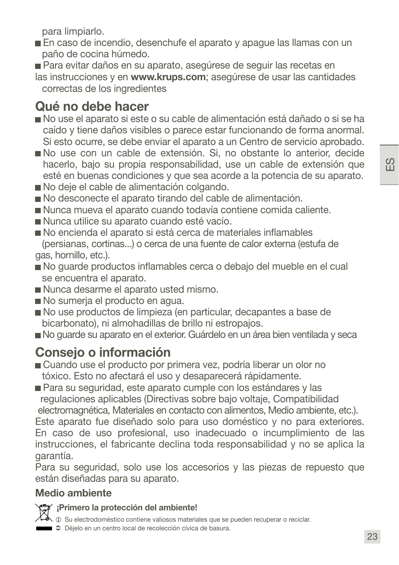para limpiarlo.

- En caso de incendio, desenchufe el aparato y apague las llamas con un paño de cocina húmedo.
- Para evitar daños en su aparato, asegúrese de seguir las recetas en las instrucciones y en www.krups.com; asegúrese de usar las cantidades

correctas de los ingredientes

## Qué no debe hacer

- No use el aparato si este o su cable de alimentación está dañado o si se ha caído y tiene daños visibles o parece estar funcionando de forma anormal. Si esto ocurre, se debe enviar el aparato a un Centro de servicio aprobado.
- No use con un cable de extensión. Si, no obstante lo anterior, decide hacerlo, bajo su propia responsabilidad, use un cable de extensión que esté en buenas condiciones y que sea acorde a la potencia de su aparato.
- No deie el cable de alimentación colgando.
- No desconecte el aparato tirando del cable de alimentación.
- Nunca mueva el aparato cuando todavía contiene comida caliente.
- Nunca utilice su aparato cuando esté vacío.
- No encienda el aparato si está cerca de materiales inflamables (persianas, cortinas...) o cerca de una fuente de calor externa (estufa de gas, hornillo, etc.).
- No guarde productos inflamables cerca o debajo del mueble en el cual se encuentra el aparato.
- Nunca desarme el aparato usted mismo.
- No sumeria el producto en agua.
- No use productos de limpieza (en particular, decapantes a base de bicarbonato), ni almohadillas de brillo ni estropajos.
- No guarde su aparato en el exterior. Guárdelo en un área bien ventilada y seca

## Consejo o información

Cuando use el producto por primera vez, podría liberar un olor no tóxico. Esto no afectará el uso y desaparecerá rápidamente.

■ Para su seguridad, este aparato cumple con los estándares y las regulaciones aplicables (Directivas sobre bajo voltaje, Compatibilidad electromagnética, Materiales en contacto con alimentos, Medio ambiente, etc.). Este aparato fue diseñado solo para uso doméstico y no para exteriores. En caso de uso profesional, uso inadecuado o incumplimiento de las instrucciones, el fabricante declina toda responsabilidad y no se aplica la garantía.

Para su seguridad, solo use los accesorios y las piezas de repuesto que están diseñadas para su aparato.

### Medio ambiente



#### ¡Primero la protección del ambiente!

 $\sim$   $\sim$   $\sim$   $\sim$  Su electrodoméstico contiene valiosos materiales que se pueden recuperar o reciclar.

Déjelo en un centro local de recolección cívica de basura.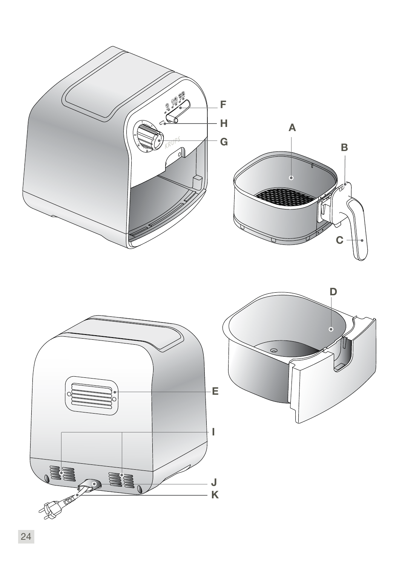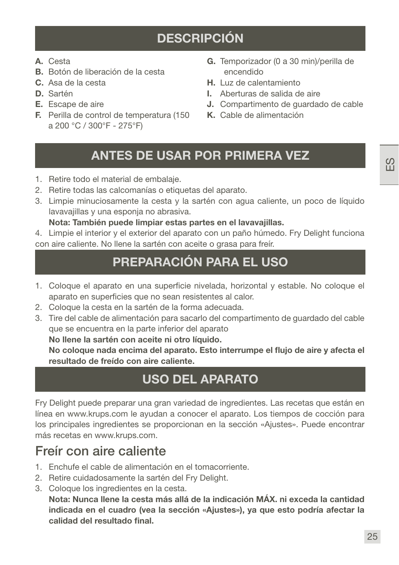## DESCRIPCIÓN

- A. Cesta
- B. Botón de liberación de la cesta
- C. Asa de la cesta
- D. Sartén
- E. Escape de aire
- F. Perilla de control de temperatura (150 a 200 °C / 300°F - 275°F)
- G. Temporizador (0 a 30 min)/perilla de encendido
- H. Luz de calentamiento
- I. Aberturas de salida de aire
- J. Compartimento de guardado de cable
- K. Cable de alimentación

### ANTES DE USAR POR PRIMERA VEZ

- 1. Retire todo el material de embalaje.
- 2. Retire todas las calcomanías o etiquetas del aparato.
- 3. Limpie minuciosamente la cesta y la sartén con agua caliente, un poco de líquido lavavajillas y una esponja no abrasiva.

#### Nota: También puede limpiar estas partes en el lavavajillas.

4. Limpie el interior y el exterior del aparato con un paño húmedo. Fry Delight funciona con aire caliente. No llene la sartén con aceite o grasa para freír.

## PREPARACIÓN PARA EL USO

- 1. Coloque el aparato en una superficie nivelada, horizontal y estable. No coloque el aparato en superficies que no sean resistentes al calor.
- 2. Coloque la cesta en la sartén de la forma adecuada.
- 3. Tire del cable de alimentación para sacarlo del compartimento de guardado del cable que se encuentra en la parte inferior del aparato

No llene la sartén con aceite ni otro líquido.

No coloque nada encima del aparato. Esto interrumpe el flujo de aire y afecta el resultado de freído con aire caliente.

## USO DEL APARATO

Fry Delight puede preparar una gran variedad de ingredientes. Las recetas que están en línea en www.krups.com le ayudan a conocer el aparato. Los tiempos de cocción para los principales ingredientes se proporcionan en la sección «Ajustes». Puede encontrar más recetas en www.krups.com.

### Freír con aire caliente

- 1. Enchufe el cable de alimentación en el tomacorriente.
- 2. Retire cuidadosamente la sartén del Fry Delight.
- 3. Coloque los ingredientes en la cesta.

Nota: Nunca llene la cesta más allá de la indicación MÁX. ni exceda la cantidad indicada en el cuadro (vea la sección «Ajustes»), ya que esto podría afectar la calidad del resultado final.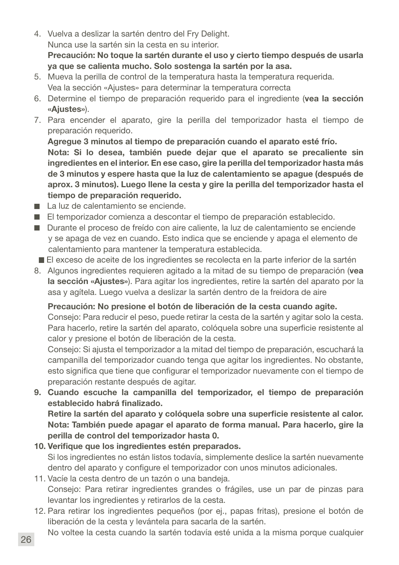4. Vuelva a deslizar la sartén dentro del Fry Delight. Nunca use la sartén sin la cesta en su interior.

Precaución: No toque la sartén durante el uso y cierto tiempo después de usarla ya que se calienta mucho. Solo sostenga la sartén por la asa.

- 5. Mueva la perilla de control de la temperatura hasta la temperatura requerida. Vea la sección «Ajustes» para determinar la temperatura correcta
- 6. Determine el tiempo de preparación requerido para el ingrediente (vea la sección «Ajustes»).
- 7. Para encender el aparato, gire la perilla del temporizador hasta el tiempo de preparación requerido.

Agregue 3 minutos al tiempo de preparación cuando el aparato esté frío.

Nota: Si lo desea, también puede dejar que el aparato se precaliente sin ingredientes en el interior. En ese caso, gire la perilla del temporizador hasta más de 3 minutos y espere hasta que la luz de calentamiento se apague (después de aprox. 3 minutos). Luego llene la cesta y gire la perilla del temporizador hasta el tiempo de preparación requerido.

- La luz de calentamiento se enciende.
- El temporizador comienza a descontar el tiempo de preparación establecido.
- Durante el proceso de freído con aire caliente, la luz de calentamiento se enciende y se apaga de vez en cuando. Esto indica que se enciende y apaga el elemento de calentamiento para mantener la temperatura establecida.
- El exceso de aceite de los ingredientes se recolecta en la parte inferior de la sartén
- 8. Algunos ingredientes requieren agitado a la mitad de su tiempo de preparación (vea la sección «Ajustes»). Para agitar los ingredientes, retire la sartén del aparato por la asa y agítela. Luego vuelva a deslizar la sartén dentro de la freidora de aire

#### Precaución: No presione el botón de liberación de la cesta cuando agite.

Consejo: Para reducir el peso, puede retirar la cesta de la sartén y agitar solo la cesta. Para hacerlo, retire la sartén del aparato, colóquela sobre una superficie resistente al calor y presione el botón de liberación de la cesta.

Consejo: Si ajusta el temporizador a la mitad del tiempo de preparación, escuchará la campanilla del temporizador cuando tenga que agitar los ingredientes. No obstante, esto significa que tiene que configurar el temporizador nuevamente con el tiempo de preparación restante después de agitar.

9. Cuando escuche la campanilla del temporizador, el tiempo de preparación establecido habrá finalizado.

Retire la sartén del aparato y colóquela sobre una superficie resistente al calor. Nota: También puede apagar el aparato de forma manual. Para hacerlo, gire la perilla de control del temporizador hasta 0.

- 10. Verifique que los ingredientes estén preparados. Si los ingredientes no están listos todavía, simplemente deslice la sartén nuevamente dentro del aparato y configure el temporizador con unos minutos adicionales.
- 11. Vacíe la cesta dentro de un tazón o una bandeja. Consejo: Para retirar ingredientes grandes o frágiles, use un par de pinzas para levantar los ingredientes y retirarlos de la cesta.
- 12. Para retirar los ingredientes pequeños (por ej., papas fritas), presione el botón de liberación de la cesta y levántela para sacarla de la sartén.
- No voltee la cesta cuando la sartén todavía esté unida a la misma porque cualquier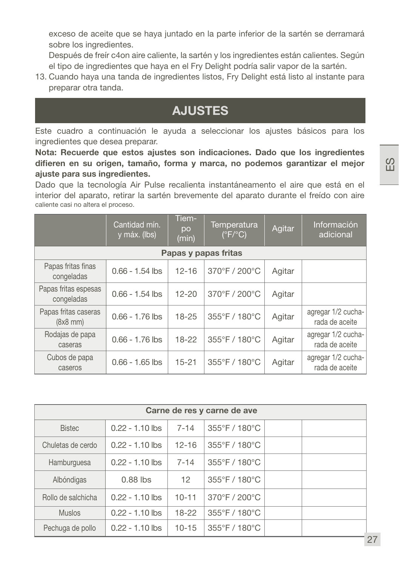exceso de aceite que se haya juntado en la parte inferior de la sartén se derramará sobre los ingredientes.

Después de freír c4on aire caliente, la sartén y los ingredientes están calientes. Según el tipo de ingredientes que haya en el Fry Delight podría salir vapor de la sartén.

13. Cuando haya una tanda de ingredientes listos, Fry Delight está listo al instante para preparar otra tanda.

## AJUSTES

Este cuadro a continuación le ayuda a seleccionar los ajustes básicos para los ingredientes que desea preparar.

Nota: Recuerde que estos ajustes son indicaciones. Dado que los ingredientes difieren en su origen, tamaño, forma y marca, no podemos garantizar el mejor ajuste para sus ingredientes.

Dado que la tecnología Air Pulse recalienta instantáneamento el aire que está en el interior del aparato, retirar la sartén brevemente del aparato durante el freído con aire caliente casi no altera el proceso.

|                                       | Cantidad mín.<br>y máx. (lbs) | Tiem-<br>po<br>(min) | Temperatura<br>$(^{\circ}F/^{\circ}C)$ | Agitar | Información<br>adicional             |
|---------------------------------------|-------------------------------|----------------------|----------------------------------------|--------|--------------------------------------|
|                                       |                               |                      | Papas y papas fritas                   |        |                                      |
| Papas fritas finas<br>congeladas      | $0.66 - 1.54$ lbs             | $12 - 16$            | 370°F / 200°C                          | Agitar |                                      |
| Papas fritas espesas<br>congeladas    | $0.66 - 1.54$ lbs             | $12 - 20$            | 370°F / 200°C                          | Agitar |                                      |
| Papas fritas caseras<br>$(8x8$ mm $)$ | $0.66 - 1.76$ lbs             | $18 - 25$            | 355°F / 180°C                          | Agitar | agregar 1/2 cucha-<br>rada de aceite |
| Rodajas de papa<br>caseras            | $0.66 - 1.76$ lbs             | $18 - 22$            | 355°F / 180°C                          | Agitar | agregar 1/2 cucha-<br>rada de aceite |
| Cubos de papa<br>caseros              | $0.66 - 1.65$ lbs             | $15 - 21$            | 355°F / 180°C                          | Agitar | agregar 1/2 cucha-<br>rada de aceite |

| Carne de res y carne de ave |                   |           |                                    |  |  |  |  |
|-----------------------------|-------------------|-----------|------------------------------------|--|--|--|--|
| <b>Bistec</b>               | $0.22 - 1.10$ lbs | $7 - 14$  | 355°F / 180°C                      |  |  |  |  |
| Chuletas de cerdo           | $0.22 - 1.10$ lbs | $12 - 16$ | $355^{\circ}$ F / 180 $^{\circ}$ C |  |  |  |  |
| Hamburguesa                 | $0.22 - 1.10$ lbs | $7 - 14$  | $355^{\circ}$ F / 180 $^{\circ}$ C |  |  |  |  |
| Albóndigas                  | $0.88$ lbs        | 12        | 355°F / 180°C                      |  |  |  |  |
| Rollo de salchicha          | $0.22 - 1.10$ lbs | $10 - 11$ | $370^{\circ}$ F / 200 $^{\circ}$ C |  |  |  |  |
| <b>Muslos</b>               | $0.22 - 1.10$ lbs | 18-22     | 355°F / 180°C                      |  |  |  |  |
| Pechuga de pollo            | $0.22 - 1.10$ lbs | $10 - 15$ | 355°F / 180°C                      |  |  |  |  |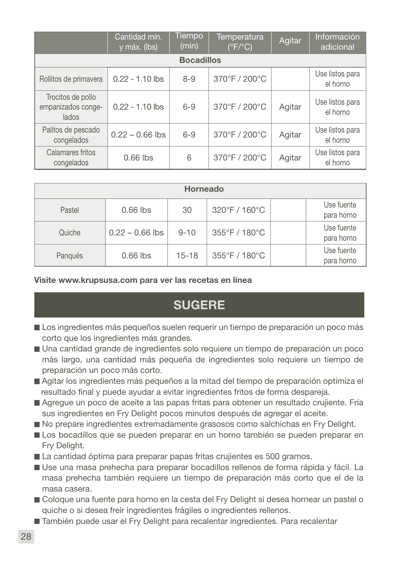|                                                  | Cantidad mín.<br>y máx. (lbs) | <b>Tiempo</b><br>(min) | Temperatura<br>$(^{\circ}F/^{\circ}C)$ | Agitar | Información<br>adicional    |  |  |  |
|--------------------------------------------------|-------------------------------|------------------------|----------------------------------------|--------|-----------------------------|--|--|--|
| <b>Bocadillos</b>                                |                               |                        |                                        |        |                             |  |  |  |
| Rollitos de primavera                            | $0.22 - 1.10$ lbs             | $8 - 9$                | 370°F / 200°C                          |        | Use listos para<br>el horno |  |  |  |
| Trocitos de pollo<br>empanizados conge-<br>lados | $0.22 - 1.10$ lbs             | $6 - 9$                | 370°F / 200°C                          | Agitar | Use listos para<br>el horno |  |  |  |
| Palitos de pescado<br>congelados                 | $0.22 - 0.66$ lbs             | $6 - 9$                | 370°F / 200°C                          | Agitar | Use listos para<br>el horno |  |  |  |
| Calamares fritos<br>congelados                   | $0.66$ lbs                    | 6                      | 370°F / 200°C                          | Agitar | Use listos para<br>el horno |  |  |  |

| Horneado |                   |           |               |                          |  |  |  |
|----------|-------------------|-----------|---------------|--------------------------|--|--|--|
| Pastel   | $0.66$ lbs        | 30        | 320°F / 160°C | Use fuente<br>para horno |  |  |  |
| Quiche   | $0.22 - 0.66$ lbs | $9 - 10$  | 355°F / 180°C | Use fuente<br>para horno |  |  |  |
| Pangués  | $0.66$ lbs        | $15 - 18$ | 355°F / 180°C | Use fuente<br>para horno |  |  |  |

#### Visite www.krupsusa.com para ver las recetas en línea

### **SUGERE**

- Los ingredientes más pequeños suelen requerir un tiempo de preparación un poco más corto que los ingredientes más grandes.
- Una cantidad grande de ingredientes solo requiere un tiempo de preparación un poco más largo, una cantidad más pequeña de ingredientes solo requiere un tiempo de preparación un poco más corto.
- Agitar los ingredientes más pequeños a la mitad del tiempo de preparación optimiza el resultado final y puede ayudar a evitar ingredientes fritos de forma despareja.
- Agregue un poco de aceite a las papas fritas para obtener un resultado crujiente. Fría sus ingredientes en Fry Delight pocos minutos después de agregar el aceite.
- No prepare ingredientes extremadamente grasosos como salchichas en Fry Delight.
- Los bocadillos que se pueden preparar en un horno también se pueden preparar en Fry Delight.
- La cantidad óptima para preparar papas fritas crujientes es 500 gramos.
- Use una masa prehecha para preparar bocadillos rellenos de forma rápida y fácil. La masa prehecha también requiere un tiempo de preparación más corto que el de la masa casera.
- Coloque una fuente para horno en la cesta del Fry Delight si desea hornear un pastel o quiche o si desea freír ingredientes frágiles o ingredientes rellenos.
- También puede usar el Fry Delight para recalentar ingredientes. Para recalentar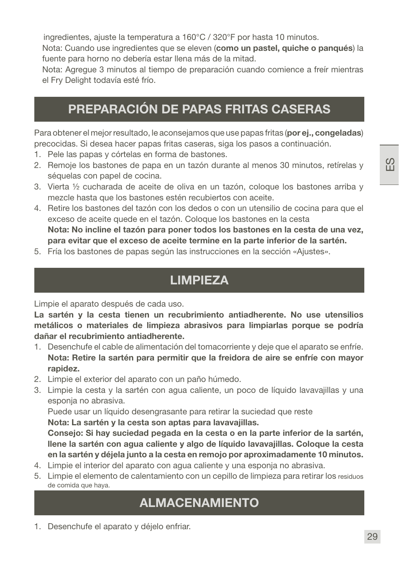ingredientes, ajuste la temperatura a 160°C / 320°F por hasta 10 minutos.

Nota: Cuando use ingredientes que se eleven (como un pastel, quiche o panqués) la fuente para horno no debería estar llena más de la mitad.

Nota: Agregue 3 minutos al tiempo de preparación cuando comience a freír mientras el Fry Delight todavía esté frío.

## PREPARACIÓN DE PAPAS FRITAS CASERAS

Para obtener el mejor resultado, le aconsejamos que use papas fritas (por ej., congeladas) precocidas. Si desea hacer papas fritas caseras, siga los pasos a continuación.

- 1. Pele las papas y córtelas en forma de bastones.
- 2. Remoje los bastones de papa en un tazón durante al menos 30 minutos, retírelas y séquelas con papel de cocina.
- 3. Vierta ½ cucharada de aceite de oliva en un tazón, coloque los bastones arriba y mezcle hasta que los bastones estén recubiertos con aceite.
- 4. Retire los bastones del tazón con los dedos o con un utensilio de cocina para que el exceso de aceite quede en el tazón. Coloque los bastones en la cesta Nota: No incline el tazón para poner todos los bastones en la cesta de una vez, para evitar que el exceso de aceite termine en la parte inferior de la sartén.
- 5. Fría los bastones de papas según las instrucciones en la sección «Ajustes».

## LIMPIEZA

Limpie el aparato después de cada uso.

La sartén y la cesta tienen un recubrimiento antiadherente. No use utensilios metálicos o materiales de limpieza abrasivos para limpiarlas porque se podría dañar el recubrimiento antiadherente.

- 1. Desenchufe el cable de alimentación del tomacorriente y deje que el aparato se enfríe. Nota: Retire la sartén para permitir que la freidora de aire se enfríe con mayor rapidez.
- 2. Limpie el exterior del aparato con un paño húmedo.
- 3. Limpie la cesta y la sartén con agua caliente, un poco de líquido lavavajillas y una esponja no abrasiva.

Puede usar un líquido desengrasante para retirar la suciedad que reste

Nota: La sartén y la cesta son aptas para lavavajillas.

Consejo: Si hay suciedad pegada en la cesta o en la parte inferior de la sartén, llene la sartén con agua caliente y algo de líquido lavavajillas. Coloque la cesta en la sartén y déjela junto a la cesta en remojo por aproximadamente 10 minutos.

- 4. Limpie el interior del aparato con agua caliente y una esponja no abrasiva.
- 5. Limpie el elemento de calentamiento con un cepillo de limpieza para retirar los residuos de comida que haya.

### ALMACENAMIENTO

1. Desenchufe el aparato y déjelo enfriar.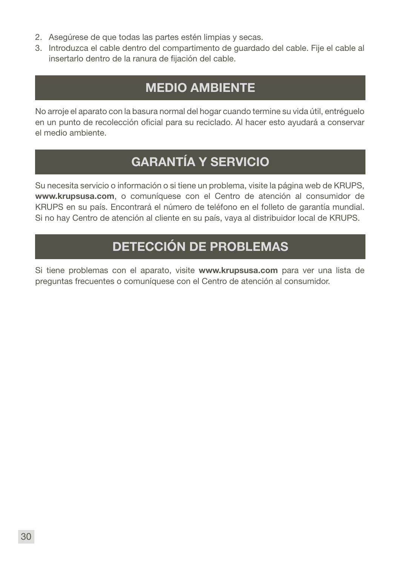- 2. Asegúrese de que todas las partes estén limpias y secas.
- 3. Introduzca el cable dentro del compartimento de guardado del cable. Fije el cable al insertarlo dentro de la ranura de fijación del cable.

## MEDIO AMBIENTE

No arroje el aparato con la basura normal del hogar cuando termine su vida útil, entréguelo en un punto de recolección oficial para su reciclado. Al hacer esto ayudará a conservar el medio ambiente.

## GARANTÍA Y SERVICIO

Su necesita servicio o información o si tiene un problema, visite la página web de KRUPS, www.krupsusa.com, o comuníquese con el Centro de atención al consumidor de KRUPS en su país. Encontrará el número de teléfono en el folleto de garantía mundial. Si no hay Centro de atención al cliente en su país, vaya al distribuidor local de KRUPS.

## DETECCIÓN DE PROBLEMAS

Si tiene problemas con el aparato, visite www.krupsusa.com para ver una lista de preguntas frecuentes o comuníquese con el Centro de atención al consumidor.